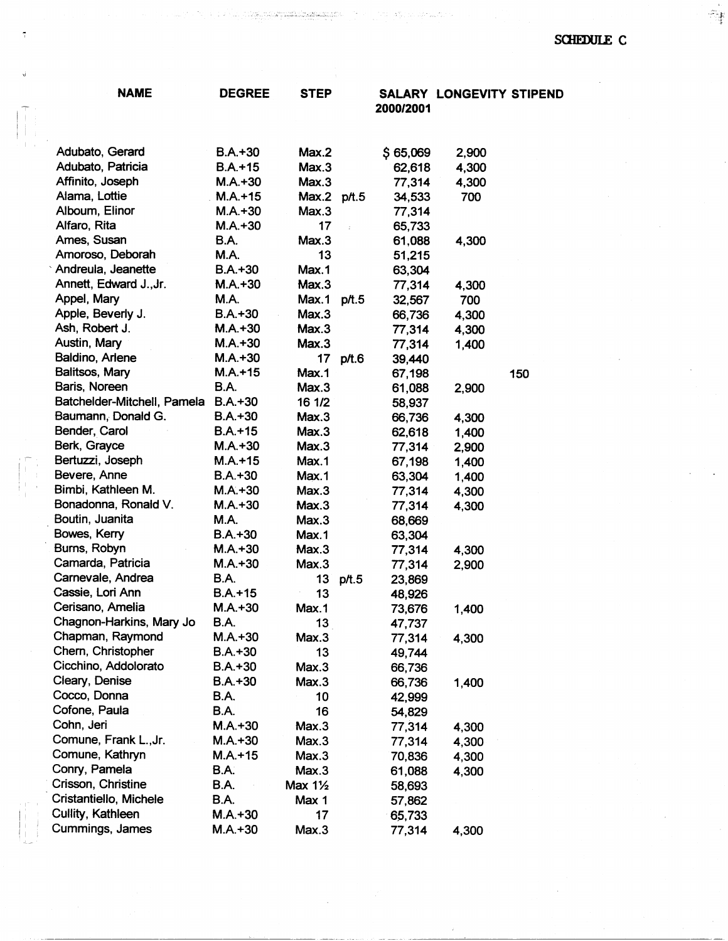$\hat{\mathcal{F}}$ 

 $\bar{z}$ 

i jiha diplop genezista

 $\hat{\tau}_{\frac{1}{4}}$ 

| <b>NAME</b>                          | <b>DEGREE</b>            | <b>STEP</b>        |       | 2000/2001        | <b>SALARY LONGEVITY STIPEND</b> |     |
|--------------------------------------|--------------------------|--------------------|-------|------------------|---------------------------------|-----|
|                                      |                          |                    |       |                  |                                 |     |
| Adubato, Gerard                      | $B.A.+30$                | Max.2              |       | \$65,069         | 2,900                           |     |
| Adubato, Patricia                    | $B.A. + 15$              | Max.3              |       | 62,618           | 4,300                           |     |
| Affinito, Joseph                     | $M.A. + 30$              | Max.3              |       | 77,314           | 4,300                           |     |
| Alama, Lottie                        | $M.A. + 15$              | Max.2 p/t.5        |       | 34,533           | 700                             |     |
| Alboum, Elinor                       | $M.A.+30$                | Max.3              |       | 77,314           |                                 |     |
| Alfaro, Rita                         | $M.A. + 30$              | 17                 | $\pm$ | 65,733           |                                 |     |
| Ames, Susan                          | <b>B.A.</b>              | Max.3              |       | 61,088           | 4,300                           |     |
| Amoroso, Deborah                     | <b>M.A.</b>              | 13                 |       | 51,215           |                                 |     |
| Andreula, Jeanette                   | $B.A.+30$                | Max.1              |       | 63,304           |                                 |     |
| Annett, Edward J., Jr.               | $M.A. + 30$              | Max.3              |       | 77,314           | 4,300                           |     |
| Appel, Mary                          | <b>M.A.</b>              | Max.1              | p/t.5 | 32,567           | 700                             |     |
| Apple, Beverly J.                    | $B.A.+30$                | Max.3              |       | 66,736           | 4,300                           |     |
| Ash, Robert J.                       | $M.A. + 30$              | Max.3              |       | 77,314           | 4,300                           |     |
| Austin, Mary                         | $M.A.+30$                | Max.3              |       | 77,314           | 1,400                           |     |
| Baldino, Arlene                      | $M.A.+30$                | 17                 | p/t.6 | 39,440           |                                 |     |
| Balitsos, Mary                       | $M.A. + 15$              | Max.1              |       | 67,198           |                                 | 150 |
| Baris, Noreen                        | <b>B.A.</b>              | Max.3              |       | 61,088           | 2,900                           |     |
| Batchelder-Mitchell, Pamela          | $B.A.+30$                | 16 1/2             |       | 58,937           |                                 |     |
| Baumann, Donald G.                   | $B.A.+30$                | Max.3              |       | 66,736           | 4,300                           |     |
| Bender, Carol                        | $B.A.+15$                | Max.3              |       | 62,618           | 1,400                           |     |
| Berk, Grayce                         | $M.A.+30$                | Max.3              |       | 77,314           | 2,900                           |     |
| Bertuzzi, Joseph                     | $M.A. + 15$              | Max.1              |       | 67,198           | 1,400                           |     |
| Bevere, Anne                         | $B.A.+30$                | Max.1              |       | 63,304           | 1,400                           |     |
| Bimbi, Kathleen M.                   | $M.A.+30$                | Max.3              |       | 77,314           | 4,300                           |     |
| Bonadonna, Ronald V.                 | $M.A. + 30$              | Max.3              |       | 77,314           | 4,300                           |     |
| Boutin, Juanita                      | M.A.                     | Max.3              |       | 68,669           |                                 |     |
| Bowes, Kerry                         | $B.A.+30$                | Max.1              |       | 63,304           |                                 |     |
| Burns, Robyn<br>Camarda, Patricia    | $M.A.+30$                | Max.3              |       | 77,314           | 4,300                           |     |
|                                      | $M.A.+30$                | Max.3              |       | 77,314           | 2,900                           |     |
| Carnevale, Andrea                    | <b>B.A.</b>              | 13 <sup>°</sup>    | p/t.5 | 23,869           |                                 |     |
| Cassie, Lori Ann<br>Cerisano, Amelia | $B.A.+15$                | 13                 |       | 48,926           |                                 |     |
| Chagnon-Harkins, Mary Jo             | $M.A.+30$<br><b>B.A.</b> | Max.1              |       | 73,676           | 1,400                           |     |
| Chapman, Raymond                     | $M.A.+30$                | 13<br>Max.3        |       | 47,737           |                                 |     |
| Chern, Christopher                   | $B.A.+30$                | 13                 |       | 77,314<br>49,744 | 4,300                           |     |
| Cicchino, Addolorato                 | $B.A.+30$                | Max.3              |       |                  |                                 |     |
| Cleary, Denise                       | $B.A. + 30$              | Max.3              |       | 66,736<br>66,736 |                                 |     |
| Cocco, Donna                         | <b>B.A.</b>              | 10                 |       | 42,999           | 1,400                           |     |
| Cofone, Paula                        | <b>B.A.</b>              | 16                 |       | 54,829           |                                 |     |
| Cohn, Jeri                           | $M.A.+30$                | Max.3              |       | 77,314           |                                 |     |
| Comune, Frank L., Jr.                | $M.A.+30$                | Max.3              |       | 77,314           | 4,300<br>4,300                  |     |
| Comune, Kathryn                      | $M.A. + 15$              | Max.3              |       | 70,836           |                                 |     |
| Conry, Pamela                        | <b>B.A.</b>              | Max.3              |       | 61,088           | 4,300                           |     |
| Crisson, Christine                   | B.A.                     | Max $1\frac{1}{2}$ |       |                  | 4,300                           |     |
| Cristantiello, Michele               | <b>B.A.</b>              | Max 1              |       | 58,693           |                                 |     |
| Cullity, Kathleen                    | $M.A.+30$                | 17                 |       | 57,862<br>65,733 |                                 |     |
| Cummings, James                      | $M.A.+30$                | Max.3              |       | 77,314           | 4,300                           |     |
|                                      |                          |                    |       |                  |                                 |     |

 $\hat{\mathcal{L}}$ 

 $\label{eq:3.1} \begin{split} \mathcal{A} & = \left\{ \begin{array}{ll} \mathcal{A} & = \left\{ \begin{array}{ll} \mathcal{A} & \mathcal{A} & \mathcal{A} \\ \mathcal{A} & \mathcal{A} & \mathcal{A} \end{array} \right\} \mathcal{A} & \mathcal{A} & \mathcal{A} & \mathcal{A} & \mathcal{A} \\ \mathcal{A} & = \left\{ \begin{array}{ll} \mathcal{A} & \mathcal{A} & \mathcal{A} & \mathcal{A} \\ \mathcal{A} & \mathcal{A} & \mathcal{A} & \mathcal{A} \end{array} \right\}$ 

 $\begin{array}{l} \left(\begin{array}{cc} 0 & \alpha & \alpha \\ \alpha & \alpha & \beta \end{array}\right)_{\alpha=1} & \left(\begin{array}{cc} \alpha & \alpha \\ \alpha & \beta & \beta \end{array}\right)\\ \left(\begin{array}{cc} \alpha & \alpha & \alpha \\ \alpha & \alpha & \beta \end{array}\right)_{\alpha=1} & \left(\begin{array}{cc} \alpha & \alpha \\ \alpha & \beta & \beta \end{array}\right)_{\alpha=1} & \left(\begin{array}{cc} \alpha & \alpha \\ \alpha & \beta & \beta \end{array}\right)_{\alpha=1} & \left(\begin{array}{cc} \alpha & \alpha \\ \alpha & \beta & \beta \end{array}\$ 

 $\tilde{\tau}$ 

 $\begin{bmatrix} 1 \\ 1 \\ 1 \end{bmatrix}$ 

 $\begin{pmatrix} \overline{\mathbf{r}} & \mathbf{r} \\ \mathbf{r} & \mathbf{r} \\ \mathbf{r} & \mathbf{r} \end{pmatrix}$ 

 $\begin{pmatrix} 1 & 0 & 0 \\ 0 & 1 & 0 \\ 0 & 0 & 0 \\ 0 & 0 & 0 \\ 0 & 0 & 0 \\ 0 & 0 & 0 \\ 0 & 0 & 0 \\ 0 & 0 & 0 \\ 0 & 0 & 0 \\ 0 & 0 & 0 \\ 0 & 0 & 0 \\ 0 & 0 & 0 \\ 0 & 0 & 0 \\ 0 & 0 & 0 \\ 0 & 0 & 0 & 0 \\ 0 & 0 & 0 & 0 \\ 0 & 0 & 0 & 0 \\ 0 & 0 & 0 & 0 \\ 0 & 0 & 0 & 0 & 0 \\ 0 & 0 & 0 & 0 & 0 \\ 0 & 0 & 0 &$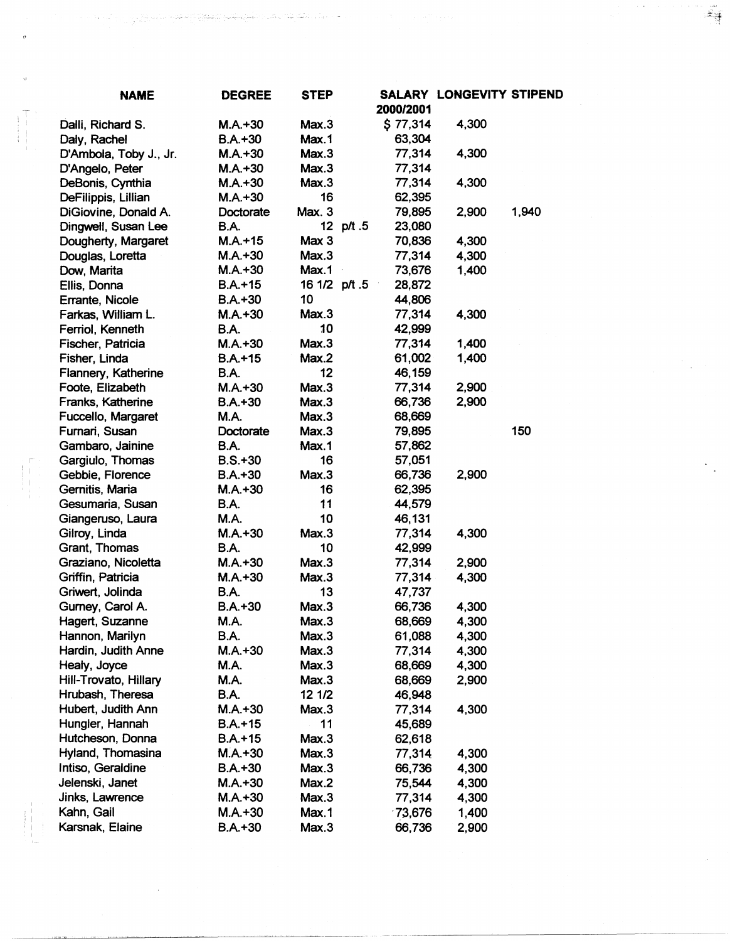| <b>NAME</b>            | <b>DEGREE</b> | <b>STEP</b>   |           |           | SALARY LONGEVITY STIPEND |       |
|------------------------|---------------|---------------|-----------|-----------|--------------------------|-------|
|                        |               |               |           | 2000/2001 |                          |       |
| Dalli, Richard S.      | $M.A.+30$     | Max.3         |           | \$77,314  | 4,300                    |       |
| Daly, Rachel           | $B.A.+30$     | Max.1         |           | 63,304    |                          |       |
| D'Ambola, Toby J., Jr. | $M.A. + 30$   | Max.3         |           | 77,314    | 4,300                    |       |
| D'Angelo, Peter        | $M.A. + 30$   | Max.3         |           | 77,314    |                          |       |
| DeBonis, Cynthia       | $M.A.+30$     | Max.3         |           | 77,314    | 4,300                    |       |
| DeFilippis, Lillian    | $M.A.+30$     | 16            |           | 62,395    |                          |       |
| DiGiovine, Donald A.   | Doctorate     | Max. 3        |           | 79,895    | 2,900                    | 1,940 |
| Dingwell, Susan Lee    | <b>B.A.</b>   |               | 12 p/t .5 | 23,080    |                          |       |
| Dougherty, Margaret    | $M.A.+15$     | Max 3         |           | 70,836    | 4,300                    |       |
| Douglas, Loretta       | $M.A.+30$     | Max.3         |           | 77,314    | 4,300                    |       |
| Dow, Marita            | $M.A. + 30$   | Max.1         |           | 73,676    | 1,400                    |       |
| Ellis, Donna           | $B.A.+15$     | 16 1/2 p/t .5 |           | 28,872    |                          |       |
| Errante, Nicole        | $B.A.+30$     | 10            |           | 44,806    |                          |       |
| Farkas, William L.     | $M.A.+30$     | Max.3         |           | 77,314    | 4,300                    |       |
| Ferriol, Kenneth       | <b>B.A.</b>   | 10            |           | 42,999    |                          |       |
| Fischer, Patricia      | $M.A.+30$     | Max.3         |           | 77,314    | 1,400                    |       |
| Fisher, Linda          | $B.A. + 15$   | Max.2         |           | 61,002    | 1,400                    |       |
| Flannery, Katherine    | <b>B.A.</b>   | 12            |           | 46,159    |                          |       |
| Foote, Elizabeth       | $M.A.+30$     | Max.3         |           | 77,314    | 2,900                    |       |
| Franks, Katherine      | $B.A.+30$     | Max.3         |           | 66,736    | 2,900                    |       |
| Fuccello, Margaret     | <b>M.A.</b>   | Max.3         |           | 68,669    |                          |       |
| Furnari, Susan         | Doctorate     | Max.3         |           | 79,895    |                          | 150   |
| Gambaro, Jainine       | <b>B.A.</b>   | Max.1         |           | 57,862    |                          |       |
| Gargiulo, Thomas       | $B.S.+30$     | 16            |           | 57,051    |                          |       |
| Gebbie, Florence       | $B.A.+30$     | Max.3         |           | 66,736    | 2,900                    |       |
| Gernitis, Maria        | $M.A. + 30$   | 16            |           | 62,395    |                          |       |
| Gesumaria, Susan       | <b>B.A.</b>   | 11            |           | 44,579    |                          |       |
| Giangeruso, Laura      | M.A.          | 10            |           | 46,131    |                          |       |
| Gilroy, Linda          | $M.A.+30$     | Max.3         |           | 77,314    | 4,300                    |       |
| Grant, Thomas          | <b>B.A.</b>   | 10            |           | 42,999    |                          |       |
| Graziano, Nicoletta    | $M.A.+30$     | Max.3         |           | 77,314    | 2,900                    |       |
| Griffin, Patricia      | $M.A. + 30$   | Max.3         |           | 77,314    | 4,300                    |       |
| Griwert, Jolinda       | <b>B.A.</b>   | 13            |           | 47,737    |                          |       |
| Gurney, Carol A.       | $B.A.+30$     | Max.3         |           | 66,736    | 4,300                    |       |
| Hagert, Suzanne        | <b>M.A.</b>   | Max.3         |           | 68,669    | 4,300                    |       |
| Hannon, Marilyn        | B.A.          | Max.3         |           | 61,088    | 4,300                    |       |
| Hardin, Judith Anne    | $M.A.+30$     | Max.3         |           | 77,314    | 4,300                    |       |
| Healy, Joyce           | <b>M.A.</b>   | Max.3         |           | 68,669    | 4,300                    |       |
| Hill-Trovato, Hillary  | <b>M.A.</b>   | Max.3         |           | 68,669    | 2,900                    |       |
| Hrubash, Theresa       | <b>B.A.</b>   | 12 1/2        |           | 46,948    |                          |       |
| Hubert, Judith Ann     | $M.A.+30$     | Max.3         |           | 77,314    | 4,300                    |       |
| Hungler, Hannah        | $B.A. + 15$   | 11            |           | 45,689    |                          |       |
| Hutcheson, Donna       | $B.A.+15$     | Max.3         |           | 62,618    |                          |       |
| Hyland, Thomasina      | $M.A.+30$     | Max.3         |           | 77,314    | 4,300                    |       |
| Intiso, Geraldine      | $B.A.+30$     | Max.3         |           | 66,736    | 4,300                    |       |
| Jelenski, Janet        | $M.A.+30$     | Max.2         |           | 75,544    | 4,300                    |       |
| Jinks, Lawrence        | $M.A.+30$     | Max.3         |           | 77,314    | 4,300                    |       |
| Kahn, Gail             | $M.A.+30$     | Max.1         |           | $-73,676$ | 1,400                    |       |
| Karsnak, Elaine        | $B.A.+30$     | Max.3         |           | 66,736    | 2,900                    |       |

 $\mathcal{A}^{\mathcal{A}}$ 

 $\boldsymbol{\theta}$ 

 $\sigma_{\rm c}$ 

 $\mathcal{Z}_{\frac{3}{2}}$ 

 $\frac{1}{2} \frac{1}{2} \frac{1}{2}$ 

 $\frac{1}{2}$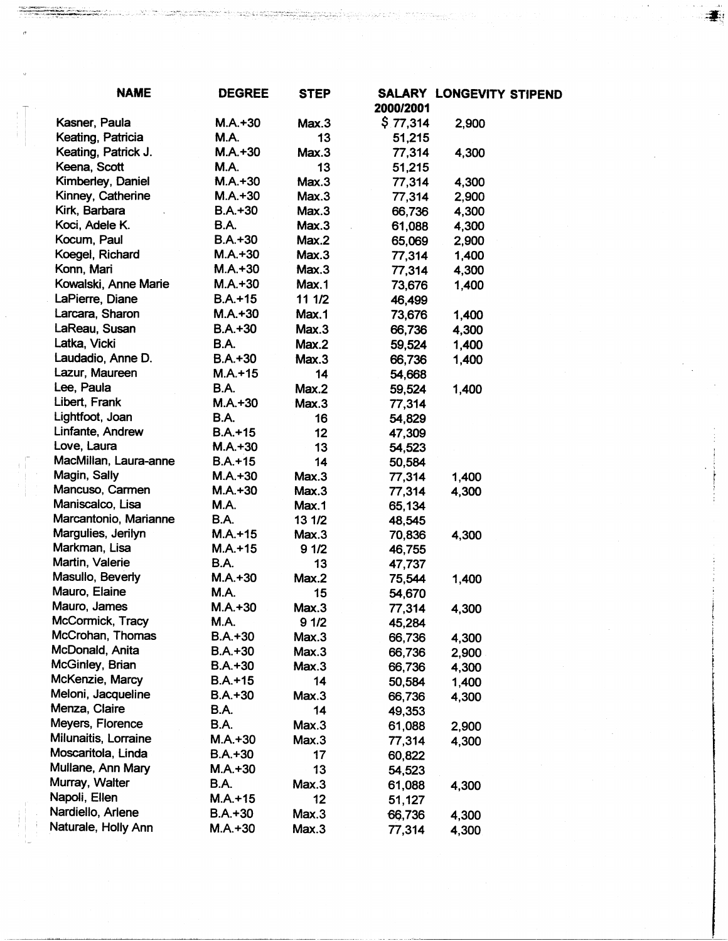| <b>NAME</b>                         | <b>DEGREE</b> | <b>STEP</b>    | 2000/2001        | SALARY LONGEVITY STIPEND |  |
|-------------------------------------|---------------|----------------|------------------|--------------------------|--|
| Kasner, Paula                       | $M.A.+30$     | Max.3          | \$77,314         | 2,900                    |  |
| Keating, Patricia                   | <b>M.A.</b>   | 13             | 51,215           |                          |  |
| Keating, Patrick J.                 | $M.A. + 30$   | Max.3          | 77,314           | 4,300                    |  |
| Keena, Scott                        | <b>M.A.</b>   | 13             | 51,215           |                          |  |
| Kimberley, Daniel                   | $M.A. + 30$   | Max.3          | 77,314           | 4,300                    |  |
| Kinney, Catherine                   | $M.A.+30$     | Max.3          | 77,314           | 2,900                    |  |
| Kirk, Barbara                       | $B.A.+30$     | Max.3          | 66,736           | 4,300                    |  |
| Koci, Adele K.                      | <b>B.A.</b>   | Max.3          | 61,088           | 4,300                    |  |
| Kocum, Paul                         | $B.A.+30$     | Max.2          | 65,069           | 2,900                    |  |
| Koegel, Richard                     | $M.A.+30$     | Max.3          | 77,314           | 1,400                    |  |
| Konn, Mari                          | $M.A. + 30$   | Max.3          | 77,314           | 4,300                    |  |
| Kowalski, Anne Marie                | $M.A.+30$     | Max.1          | 73,676           | 1,400                    |  |
| LaPierre, Diane                     | $B.A.+15$     | 11 1/2         | 46,499           |                          |  |
| Larcara, Sharon                     | $M.A. + 30$   | Max.1          | 73,676           | 1,400                    |  |
| LaReau, Susan                       | $B.A.+30$     | Max.3          | 66,736           | 4,300                    |  |
| Latka, Vicki                        | <b>B.A.</b>   | Max.2          | 59,524           | 1,400                    |  |
| Laudadio, Anne D.                   | $B.A.+30$     | Max.3          | 66,736           | 1,400                    |  |
| Lazur, Maureen                      | $M.A. + 15$   | 14             | 54,668           |                          |  |
| Lee, Paula                          | B.A.          | Max.2          |                  |                          |  |
| Libert, Frank                       | $M.A. + 30$   | Max.3          | 59,524           | 1,400                    |  |
| Lightfoot, Joan                     | <b>B.A.</b>   | 16             | 77,314           |                          |  |
| Linfante, Andrew                    | $B.A. + 15$   |                | 54,829           |                          |  |
| Love, Laura                         | $M.A.+30$     | 12<br>13       | 47,309           |                          |  |
| MacMillan, Laura-anne               | $B.A.+15$     | 14             | 54,523           |                          |  |
| Magin, Sally                        | $M.A.+30$     | Max.3          | 50,584           |                          |  |
| Mancuso, Carmen                     | $M.A.+30$     | Max.3          | 77,314           | 1,400                    |  |
| Maniscalco, Lisa                    | <b>M.A.</b>   | Max.1          | 77,314           | 4,300                    |  |
| Marcantonio, Marianne               | <b>B.A.</b>   | 13 1/2         | 65,134           |                          |  |
| Margulies, Jerilyn                  | $M.A.+15$     | Max.3          | 48,545<br>70,836 |                          |  |
| Markman, Lisa                       | $M.A. + 15$   | 91/2           | 46,755           | 4,300                    |  |
| Martin, Valerie                     | <b>B.A.</b>   | 13             | 47,737           |                          |  |
| Masullo, Beverly                    | $M.A. + 30$   | Max.2          | 75,544           | 1,400                    |  |
| Mauro, Elaine                       | M.A.          | 15             |                  |                          |  |
| Mauro, James                        | $M.A.+30$     | Max.3          | 54,670           |                          |  |
| McCormick, Tracy                    | M.A.          |                | 77,314           | 4,300                    |  |
| McCrohan, Thomas                    | $B.A.+30$     | 9 1/2<br>Max.3 | 45,284           |                          |  |
| McDonald, Anita                     | $B.A.+30$     | Max.3          | 66,736           | 4,300                    |  |
| McGinley, Brian                     | $B.A.+30$     | Max.3          | 66,736           | 2,900                    |  |
| McKenzie, Marcy                     | $B.A.+15$     | 14             | 66,736           | 4,300                    |  |
| Meloni, Jacqueline                  | $B.A.+30$     | Max.3          | 50,584           | 1,400                    |  |
| Menza, Claire                       | <b>B.A.</b>   | 14             | 66,736           | 4,300                    |  |
| Meyers, Florence                    | <b>B.A.</b>   | Max.3          | 49,353           |                          |  |
| Milunaitis, Lorraine                | $M.A.+30$     |                | 61,088           | 2,900                    |  |
| Moscaritola, Linda                  |               | Max.3          | 77,314           | 4,300                    |  |
|                                     | $B.A.+30$     | 17             | 60,822           |                          |  |
| Mullane, Ann Mary<br>Murray, Walter | $M.A.+30$     | 13             | 54,523           |                          |  |
|                                     | <b>B.A.</b>   | Max.3          | 61,088           | 4,300                    |  |
| Napoli, Ellen                       | $M.A. + 15$   | 12             | 51,127           |                          |  |
| Nardiello, Arlene                   | $B.A.+30$     | Max.3          | 66,736           | 4,300                    |  |
| Naturale, Holly Ann                 | $M.A.+30$     | Max.3          | 77,314           | 4,300                    |  |

 $\begin{array}{c} \begin{array}{c} \begin{array}{c} \begin{array}{c} \end{array} \\ \begin{array}{c} \end{array} \end{array} \end{array} \end{array}$ 

 $\ddot{\textbf{z}}$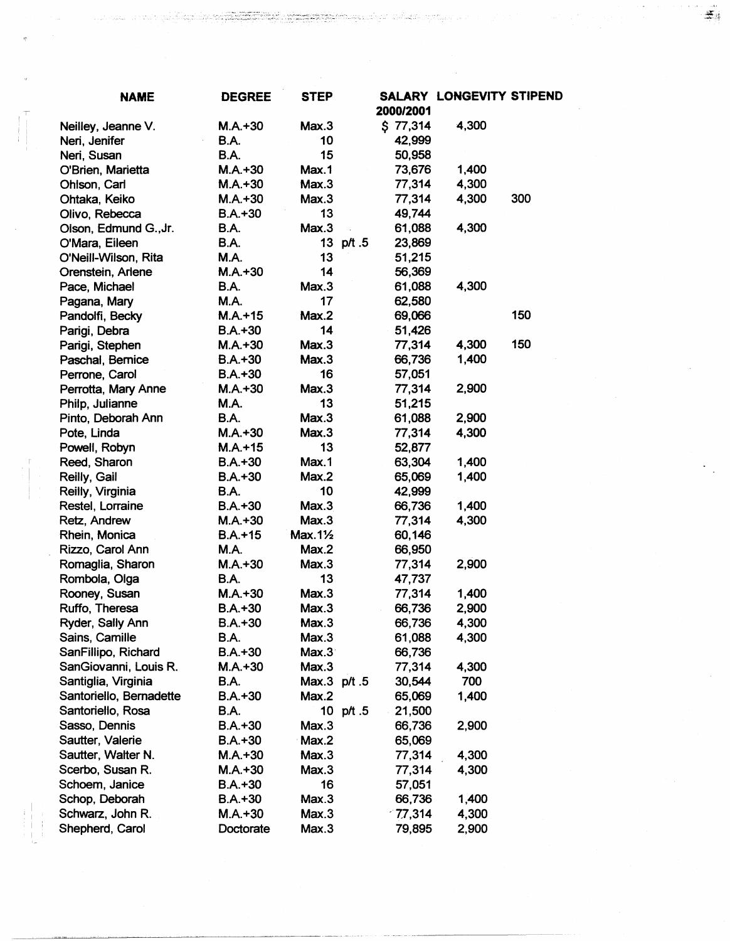| \$77,314<br>4,300<br>$M.A.+30$<br>Max.3<br>Neilley, Jeanne V.<br><b>B.A.</b><br>10<br>42,999<br>Neri, Jenifer<br>15<br><b>B.A.</b><br>50,958<br>Neri, Susan<br>$M.A.+30$<br>73,676<br>1,400<br>O'Brien, Marietta<br>Max.1<br>4,300<br>77,314<br>$M.A.+30$<br>Max.3<br>Ohlson, Carl<br>4,300<br>300<br>$M.A.+30$<br>Max.3<br>77,314<br>Ohtaka, Keiko<br>13<br>$B.A. + 30$<br>49,744<br>Olivo, Rebecca<br>4,300<br><b>B.A.</b><br>Max.3<br>61,088<br>Olson, Edmund G., Jr.<br><b>B.A.</b><br>13 p/t .5<br>23,869<br>O'Mara, Eileen<br>O'Neill-Wilson, Rita<br>M.A.<br>13<br>51,215<br>14<br>$M.A.+30$<br>56,369<br>Orenstein, Arlene<br>4,300<br>Max.3<br><b>B.A.</b><br>61,088<br>Pace, Michael<br>M.A.<br>17<br>62,580<br>Pagana, Mary<br>150<br>69,066<br>$M.A.+15$<br>Max.2<br>Pandolfi, Becky<br>14<br>$B.A.+30$<br>51,426<br>Parigi, Debra<br>150<br>Max.3<br>4,300<br>$M.A.+30$<br>77,314<br>Parigi, Stephen<br>1,400<br>$B.A.+30$<br>Max.3<br>66,736<br>Paschal, Bernice<br>16<br>$B.A.+30$<br>57,051<br>Perrone, Carol<br>77,314<br>$M.A.+30$<br>Max.3<br>2,900<br>Perrotta, Mary Anne<br>13<br>M.A.<br>51,215<br>Philp, Julianne<br>2,900<br>Pinto, Deborah Ann<br><b>B.A.</b><br>Max.3<br>61,088<br>Max.3<br>77,314<br>4,300<br>Pote, Linda<br>$M.A.+30$<br>13<br>$M.A. + 15$<br>Powell, Robyn<br>52,877<br>Reed, Sharon<br>Max.1<br>$B.A.+30$<br>63,304<br>1,400<br>Reilly, Gail<br>1,400<br>$B.A.+30$<br>Max.2<br>65,069<br>10<br>Reilly, Virginia<br>B.A.<br>42,999<br>Restel, Lorraine<br>Max.3<br>$B.A.+30$<br>66,736<br>1,400<br>Max.3<br>4,300<br>Retz, Andrew<br>$M.A.+30$<br>77,314<br>$Max.1\frac{1}{2}$<br>$B.A. + 15$<br>Rhein, Monica<br>60,146<br><b>M.A.</b><br>Max.2<br>66,950<br>Rizzo, Carol Ann<br>Max.3<br>2,900<br>Romaglia, Sharon<br>$M.A.+30$<br>77,314<br>13<br>Rombola, Olga<br><b>B.A.</b><br>47,737<br>Rooney, Susan<br>$M.A.+30$<br>Max.3<br>77,314<br>1,400<br>Ruffo, Theresa<br>$B.A.+30$<br>Max.3<br>66,736<br>2,900<br>Ryder, Sally Ann<br>4,300<br>$B.A.+30$<br>Max.3<br>66,736<br>4,300<br>Sains, Camille<br><b>B.A.</b><br>Max.3<br>61,088<br>SanFillipo, Richard<br>$B.A.+30$<br>Max.3<br>66,736<br>SanGiovanni, Louis R.<br>4,300<br>$M.A. + 30$<br>Max.3<br>77,314<br>Santiglia, Virginia<br>700<br><b>B.A.</b><br>Max.3 p/t.5<br>30,544<br>Santoriello, Bernadette<br>1,400<br>$B.A.+30$<br>Max.2<br>65,069<br>Santoriello, Rosa<br>B.A.<br>10 $p/t$ .5<br>21,500<br>Sasso, Dennis<br>$B.A.+30$<br>Max.3<br>66,736<br>2,900<br>Sautter, Valerie<br>$B.A.+30$<br>Max.2<br>65,069<br>Sautter, Walter N.<br>$M.A.+30$<br>Max.3<br>77,314<br>4,300<br>Scerbo, Susan R.<br>$M.A.+30$<br>Max.3<br>77,314<br>4,300<br>Schoem, Janice<br>16<br>$B.A.+30$<br>57,051<br>Schop, Deborah<br>Max.3<br>66,736<br>1,400<br>$B.A.+30$<br>Schwarz, John R.<br>$-77,314$<br>4,300<br>$M.A.+30$<br>Max.3<br>79,895 | <b>NAME</b>     | <b>DEGREE</b> | <b>STEP</b> | 2000/2001 | SALARY LONGEVITY STIPEND |  |
|--------------------------------------------------------------------------------------------------------------------------------------------------------------------------------------------------------------------------------------------------------------------------------------------------------------------------------------------------------------------------------------------------------------------------------------------------------------------------------------------------------------------------------------------------------------------------------------------------------------------------------------------------------------------------------------------------------------------------------------------------------------------------------------------------------------------------------------------------------------------------------------------------------------------------------------------------------------------------------------------------------------------------------------------------------------------------------------------------------------------------------------------------------------------------------------------------------------------------------------------------------------------------------------------------------------------------------------------------------------------------------------------------------------------------------------------------------------------------------------------------------------------------------------------------------------------------------------------------------------------------------------------------------------------------------------------------------------------------------------------------------------------------------------------------------------------------------------------------------------------------------------------------------------------------------------------------------------------------------------------------------------------------------------------------------------------------------------------------------------------------------------------------------------------------------------------------------------------------------------------------------------------------------------------------------------------------------------------------------------------------------------------------------------------------------------------------------------------------------------------------------------------------------------------------------------------------------------------------------------------------------------------------------------------------------------------------------------------------------------------------------------------------------------------------------------------------------------------------|-----------------|---------------|-------------|-----------|--------------------------|--|
|                                                                                                                                                                                                                                                                                                                                                                                                                                                                                                                                                                                                                                                                                                                                                                                                                                                                                                                                                                                                                                                                                                                                                                                                                                                                                                                                                                                                                                                                                                                                                                                                                                                                                                                                                                                                                                                                                                                                                                                                                                                                                                                                                                                                                                                                                                                                                                                                                                                                                                                                                                                                                                                                                                                                                                                                                                                  |                 |               |             |           |                          |  |
|                                                                                                                                                                                                                                                                                                                                                                                                                                                                                                                                                                                                                                                                                                                                                                                                                                                                                                                                                                                                                                                                                                                                                                                                                                                                                                                                                                                                                                                                                                                                                                                                                                                                                                                                                                                                                                                                                                                                                                                                                                                                                                                                                                                                                                                                                                                                                                                                                                                                                                                                                                                                                                                                                                                                                                                                                                                  |                 |               |             |           |                          |  |
|                                                                                                                                                                                                                                                                                                                                                                                                                                                                                                                                                                                                                                                                                                                                                                                                                                                                                                                                                                                                                                                                                                                                                                                                                                                                                                                                                                                                                                                                                                                                                                                                                                                                                                                                                                                                                                                                                                                                                                                                                                                                                                                                                                                                                                                                                                                                                                                                                                                                                                                                                                                                                                                                                                                                                                                                                                                  |                 |               |             |           |                          |  |
|                                                                                                                                                                                                                                                                                                                                                                                                                                                                                                                                                                                                                                                                                                                                                                                                                                                                                                                                                                                                                                                                                                                                                                                                                                                                                                                                                                                                                                                                                                                                                                                                                                                                                                                                                                                                                                                                                                                                                                                                                                                                                                                                                                                                                                                                                                                                                                                                                                                                                                                                                                                                                                                                                                                                                                                                                                                  |                 |               |             |           |                          |  |
|                                                                                                                                                                                                                                                                                                                                                                                                                                                                                                                                                                                                                                                                                                                                                                                                                                                                                                                                                                                                                                                                                                                                                                                                                                                                                                                                                                                                                                                                                                                                                                                                                                                                                                                                                                                                                                                                                                                                                                                                                                                                                                                                                                                                                                                                                                                                                                                                                                                                                                                                                                                                                                                                                                                                                                                                                                                  |                 |               |             |           |                          |  |
|                                                                                                                                                                                                                                                                                                                                                                                                                                                                                                                                                                                                                                                                                                                                                                                                                                                                                                                                                                                                                                                                                                                                                                                                                                                                                                                                                                                                                                                                                                                                                                                                                                                                                                                                                                                                                                                                                                                                                                                                                                                                                                                                                                                                                                                                                                                                                                                                                                                                                                                                                                                                                                                                                                                                                                                                                                                  |                 |               |             |           |                          |  |
|                                                                                                                                                                                                                                                                                                                                                                                                                                                                                                                                                                                                                                                                                                                                                                                                                                                                                                                                                                                                                                                                                                                                                                                                                                                                                                                                                                                                                                                                                                                                                                                                                                                                                                                                                                                                                                                                                                                                                                                                                                                                                                                                                                                                                                                                                                                                                                                                                                                                                                                                                                                                                                                                                                                                                                                                                                                  |                 |               |             |           |                          |  |
|                                                                                                                                                                                                                                                                                                                                                                                                                                                                                                                                                                                                                                                                                                                                                                                                                                                                                                                                                                                                                                                                                                                                                                                                                                                                                                                                                                                                                                                                                                                                                                                                                                                                                                                                                                                                                                                                                                                                                                                                                                                                                                                                                                                                                                                                                                                                                                                                                                                                                                                                                                                                                                                                                                                                                                                                                                                  |                 |               |             |           |                          |  |
|                                                                                                                                                                                                                                                                                                                                                                                                                                                                                                                                                                                                                                                                                                                                                                                                                                                                                                                                                                                                                                                                                                                                                                                                                                                                                                                                                                                                                                                                                                                                                                                                                                                                                                                                                                                                                                                                                                                                                                                                                                                                                                                                                                                                                                                                                                                                                                                                                                                                                                                                                                                                                                                                                                                                                                                                                                                  |                 |               |             |           |                          |  |
|                                                                                                                                                                                                                                                                                                                                                                                                                                                                                                                                                                                                                                                                                                                                                                                                                                                                                                                                                                                                                                                                                                                                                                                                                                                                                                                                                                                                                                                                                                                                                                                                                                                                                                                                                                                                                                                                                                                                                                                                                                                                                                                                                                                                                                                                                                                                                                                                                                                                                                                                                                                                                                                                                                                                                                                                                                                  |                 |               |             |           |                          |  |
|                                                                                                                                                                                                                                                                                                                                                                                                                                                                                                                                                                                                                                                                                                                                                                                                                                                                                                                                                                                                                                                                                                                                                                                                                                                                                                                                                                                                                                                                                                                                                                                                                                                                                                                                                                                                                                                                                                                                                                                                                                                                                                                                                                                                                                                                                                                                                                                                                                                                                                                                                                                                                                                                                                                                                                                                                                                  |                 |               |             |           |                          |  |
|                                                                                                                                                                                                                                                                                                                                                                                                                                                                                                                                                                                                                                                                                                                                                                                                                                                                                                                                                                                                                                                                                                                                                                                                                                                                                                                                                                                                                                                                                                                                                                                                                                                                                                                                                                                                                                                                                                                                                                                                                                                                                                                                                                                                                                                                                                                                                                                                                                                                                                                                                                                                                                                                                                                                                                                                                                                  |                 |               |             |           |                          |  |
|                                                                                                                                                                                                                                                                                                                                                                                                                                                                                                                                                                                                                                                                                                                                                                                                                                                                                                                                                                                                                                                                                                                                                                                                                                                                                                                                                                                                                                                                                                                                                                                                                                                                                                                                                                                                                                                                                                                                                                                                                                                                                                                                                                                                                                                                                                                                                                                                                                                                                                                                                                                                                                                                                                                                                                                                                                                  |                 |               |             |           |                          |  |
|                                                                                                                                                                                                                                                                                                                                                                                                                                                                                                                                                                                                                                                                                                                                                                                                                                                                                                                                                                                                                                                                                                                                                                                                                                                                                                                                                                                                                                                                                                                                                                                                                                                                                                                                                                                                                                                                                                                                                                                                                                                                                                                                                                                                                                                                                                                                                                                                                                                                                                                                                                                                                                                                                                                                                                                                                                                  |                 |               |             |           |                          |  |
|                                                                                                                                                                                                                                                                                                                                                                                                                                                                                                                                                                                                                                                                                                                                                                                                                                                                                                                                                                                                                                                                                                                                                                                                                                                                                                                                                                                                                                                                                                                                                                                                                                                                                                                                                                                                                                                                                                                                                                                                                                                                                                                                                                                                                                                                                                                                                                                                                                                                                                                                                                                                                                                                                                                                                                                                                                                  |                 |               |             |           |                          |  |
|                                                                                                                                                                                                                                                                                                                                                                                                                                                                                                                                                                                                                                                                                                                                                                                                                                                                                                                                                                                                                                                                                                                                                                                                                                                                                                                                                                                                                                                                                                                                                                                                                                                                                                                                                                                                                                                                                                                                                                                                                                                                                                                                                                                                                                                                                                                                                                                                                                                                                                                                                                                                                                                                                                                                                                                                                                                  |                 |               |             |           |                          |  |
|                                                                                                                                                                                                                                                                                                                                                                                                                                                                                                                                                                                                                                                                                                                                                                                                                                                                                                                                                                                                                                                                                                                                                                                                                                                                                                                                                                                                                                                                                                                                                                                                                                                                                                                                                                                                                                                                                                                                                                                                                                                                                                                                                                                                                                                                                                                                                                                                                                                                                                                                                                                                                                                                                                                                                                                                                                                  |                 |               |             |           |                          |  |
|                                                                                                                                                                                                                                                                                                                                                                                                                                                                                                                                                                                                                                                                                                                                                                                                                                                                                                                                                                                                                                                                                                                                                                                                                                                                                                                                                                                                                                                                                                                                                                                                                                                                                                                                                                                                                                                                                                                                                                                                                                                                                                                                                                                                                                                                                                                                                                                                                                                                                                                                                                                                                                                                                                                                                                                                                                                  |                 |               |             |           |                          |  |
|                                                                                                                                                                                                                                                                                                                                                                                                                                                                                                                                                                                                                                                                                                                                                                                                                                                                                                                                                                                                                                                                                                                                                                                                                                                                                                                                                                                                                                                                                                                                                                                                                                                                                                                                                                                                                                                                                                                                                                                                                                                                                                                                                                                                                                                                                                                                                                                                                                                                                                                                                                                                                                                                                                                                                                                                                                                  |                 |               |             |           |                          |  |
|                                                                                                                                                                                                                                                                                                                                                                                                                                                                                                                                                                                                                                                                                                                                                                                                                                                                                                                                                                                                                                                                                                                                                                                                                                                                                                                                                                                                                                                                                                                                                                                                                                                                                                                                                                                                                                                                                                                                                                                                                                                                                                                                                                                                                                                                                                                                                                                                                                                                                                                                                                                                                                                                                                                                                                                                                                                  |                 |               |             |           |                          |  |
|                                                                                                                                                                                                                                                                                                                                                                                                                                                                                                                                                                                                                                                                                                                                                                                                                                                                                                                                                                                                                                                                                                                                                                                                                                                                                                                                                                                                                                                                                                                                                                                                                                                                                                                                                                                                                                                                                                                                                                                                                                                                                                                                                                                                                                                                                                                                                                                                                                                                                                                                                                                                                                                                                                                                                                                                                                                  |                 |               |             |           |                          |  |
|                                                                                                                                                                                                                                                                                                                                                                                                                                                                                                                                                                                                                                                                                                                                                                                                                                                                                                                                                                                                                                                                                                                                                                                                                                                                                                                                                                                                                                                                                                                                                                                                                                                                                                                                                                                                                                                                                                                                                                                                                                                                                                                                                                                                                                                                                                                                                                                                                                                                                                                                                                                                                                                                                                                                                                                                                                                  |                 |               |             |           |                          |  |
|                                                                                                                                                                                                                                                                                                                                                                                                                                                                                                                                                                                                                                                                                                                                                                                                                                                                                                                                                                                                                                                                                                                                                                                                                                                                                                                                                                                                                                                                                                                                                                                                                                                                                                                                                                                                                                                                                                                                                                                                                                                                                                                                                                                                                                                                                                                                                                                                                                                                                                                                                                                                                                                                                                                                                                                                                                                  |                 |               |             |           |                          |  |
|                                                                                                                                                                                                                                                                                                                                                                                                                                                                                                                                                                                                                                                                                                                                                                                                                                                                                                                                                                                                                                                                                                                                                                                                                                                                                                                                                                                                                                                                                                                                                                                                                                                                                                                                                                                                                                                                                                                                                                                                                                                                                                                                                                                                                                                                                                                                                                                                                                                                                                                                                                                                                                                                                                                                                                                                                                                  |                 |               |             |           |                          |  |
|                                                                                                                                                                                                                                                                                                                                                                                                                                                                                                                                                                                                                                                                                                                                                                                                                                                                                                                                                                                                                                                                                                                                                                                                                                                                                                                                                                                                                                                                                                                                                                                                                                                                                                                                                                                                                                                                                                                                                                                                                                                                                                                                                                                                                                                                                                                                                                                                                                                                                                                                                                                                                                                                                                                                                                                                                                                  |                 |               |             |           |                          |  |
|                                                                                                                                                                                                                                                                                                                                                                                                                                                                                                                                                                                                                                                                                                                                                                                                                                                                                                                                                                                                                                                                                                                                                                                                                                                                                                                                                                                                                                                                                                                                                                                                                                                                                                                                                                                                                                                                                                                                                                                                                                                                                                                                                                                                                                                                                                                                                                                                                                                                                                                                                                                                                                                                                                                                                                                                                                                  |                 |               |             |           |                          |  |
|                                                                                                                                                                                                                                                                                                                                                                                                                                                                                                                                                                                                                                                                                                                                                                                                                                                                                                                                                                                                                                                                                                                                                                                                                                                                                                                                                                                                                                                                                                                                                                                                                                                                                                                                                                                                                                                                                                                                                                                                                                                                                                                                                                                                                                                                                                                                                                                                                                                                                                                                                                                                                                                                                                                                                                                                                                                  |                 |               |             |           |                          |  |
|                                                                                                                                                                                                                                                                                                                                                                                                                                                                                                                                                                                                                                                                                                                                                                                                                                                                                                                                                                                                                                                                                                                                                                                                                                                                                                                                                                                                                                                                                                                                                                                                                                                                                                                                                                                                                                                                                                                                                                                                                                                                                                                                                                                                                                                                                                                                                                                                                                                                                                                                                                                                                                                                                                                                                                                                                                                  |                 |               |             |           |                          |  |
|                                                                                                                                                                                                                                                                                                                                                                                                                                                                                                                                                                                                                                                                                                                                                                                                                                                                                                                                                                                                                                                                                                                                                                                                                                                                                                                                                                                                                                                                                                                                                                                                                                                                                                                                                                                                                                                                                                                                                                                                                                                                                                                                                                                                                                                                                                                                                                                                                                                                                                                                                                                                                                                                                                                                                                                                                                                  |                 |               |             |           |                          |  |
|                                                                                                                                                                                                                                                                                                                                                                                                                                                                                                                                                                                                                                                                                                                                                                                                                                                                                                                                                                                                                                                                                                                                                                                                                                                                                                                                                                                                                                                                                                                                                                                                                                                                                                                                                                                                                                                                                                                                                                                                                                                                                                                                                                                                                                                                                                                                                                                                                                                                                                                                                                                                                                                                                                                                                                                                                                                  |                 |               |             |           |                          |  |
|                                                                                                                                                                                                                                                                                                                                                                                                                                                                                                                                                                                                                                                                                                                                                                                                                                                                                                                                                                                                                                                                                                                                                                                                                                                                                                                                                                                                                                                                                                                                                                                                                                                                                                                                                                                                                                                                                                                                                                                                                                                                                                                                                                                                                                                                                                                                                                                                                                                                                                                                                                                                                                                                                                                                                                                                                                                  |                 |               |             |           |                          |  |
|                                                                                                                                                                                                                                                                                                                                                                                                                                                                                                                                                                                                                                                                                                                                                                                                                                                                                                                                                                                                                                                                                                                                                                                                                                                                                                                                                                                                                                                                                                                                                                                                                                                                                                                                                                                                                                                                                                                                                                                                                                                                                                                                                                                                                                                                                                                                                                                                                                                                                                                                                                                                                                                                                                                                                                                                                                                  |                 |               |             |           |                          |  |
|                                                                                                                                                                                                                                                                                                                                                                                                                                                                                                                                                                                                                                                                                                                                                                                                                                                                                                                                                                                                                                                                                                                                                                                                                                                                                                                                                                                                                                                                                                                                                                                                                                                                                                                                                                                                                                                                                                                                                                                                                                                                                                                                                                                                                                                                                                                                                                                                                                                                                                                                                                                                                                                                                                                                                                                                                                                  |                 |               |             |           |                          |  |
|                                                                                                                                                                                                                                                                                                                                                                                                                                                                                                                                                                                                                                                                                                                                                                                                                                                                                                                                                                                                                                                                                                                                                                                                                                                                                                                                                                                                                                                                                                                                                                                                                                                                                                                                                                                                                                                                                                                                                                                                                                                                                                                                                                                                                                                                                                                                                                                                                                                                                                                                                                                                                                                                                                                                                                                                                                                  |                 |               |             |           |                          |  |
|                                                                                                                                                                                                                                                                                                                                                                                                                                                                                                                                                                                                                                                                                                                                                                                                                                                                                                                                                                                                                                                                                                                                                                                                                                                                                                                                                                                                                                                                                                                                                                                                                                                                                                                                                                                                                                                                                                                                                                                                                                                                                                                                                                                                                                                                                                                                                                                                                                                                                                                                                                                                                                                                                                                                                                                                                                                  |                 |               |             |           |                          |  |
|                                                                                                                                                                                                                                                                                                                                                                                                                                                                                                                                                                                                                                                                                                                                                                                                                                                                                                                                                                                                                                                                                                                                                                                                                                                                                                                                                                                                                                                                                                                                                                                                                                                                                                                                                                                                                                                                                                                                                                                                                                                                                                                                                                                                                                                                                                                                                                                                                                                                                                                                                                                                                                                                                                                                                                                                                                                  |                 |               |             |           |                          |  |
|                                                                                                                                                                                                                                                                                                                                                                                                                                                                                                                                                                                                                                                                                                                                                                                                                                                                                                                                                                                                                                                                                                                                                                                                                                                                                                                                                                                                                                                                                                                                                                                                                                                                                                                                                                                                                                                                                                                                                                                                                                                                                                                                                                                                                                                                                                                                                                                                                                                                                                                                                                                                                                                                                                                                                                                                                                                  |                 |               |             |           |                          |  |
|                                                                                                                                                                                                                                                                                                                                                                                                                                                                                                                                                                                                                                                                                                                                                                                                                                                                                                                                                                                                                                                                                                                                                                                                                                                                                                                                                                                                                                                                                                                                                                                                                                                                                                                                                                                                                                                                                                                                                                                                                                                                                                                                                                                                                                                                                                                                                                                                                                                                                                                                                                                                                                                                                                                                                                                                                                                  |                 |               |             |           |                          |  |
|                                                                                                                                                                                                                                                                                                                                                                                                                                                                                                                                                                                                                                                                                                                                                                                                                                                                                                                                                                                                                                                                                                                                                                                                                                                                                                                                                                                                                                                                                                                                                                                                                                                                                                                                                                                                                                                                                                                                                                                                                                                                                                                                                                                                                                                                                                                                                                                                                                                                                                                                                                                                                                                                                                                                                                                                                                                  |                 |               |             |           |                          |  |
|                                                                                                                                                                                                                                                                                                                                                                                                                                                                                                                                                                                                                                                                                                                                                                                                                                                                                                                                                                                                                                                                                                                                                                                                                                                                                                                                                                                                                                                                                                                                                                                                                                                                                                                                                                                                                                                                                                                                                                                                                                                                                                                                                                                                                                                                                                                                                                                                                                                                                                                                                                                                                                                                                                                                                                                                                                                  |                 |               |             |           |                          |  |
|                                                                                                                                                                                                                                                                                                                                                                                                                                                                                                                                                                                                                                                                                                                                                                                                                                                                                                                                                                                                                                                                                                                                                                                                                                                                                                                                                                                                                                                                                                                                                                                                                                                                                                                                                                                                                                                                                                                                                                                                                                                                                                                                                                                                                                                                                                                                                                                                                                                                                                                                                                                                                                                                                                                                                                                                                                                  |                 |               |             |           |                          |  |
|                                                                                                                                                                                                                                                                                                                                                                                                                                                                                                                                                                                                                                                                                                                                                                                                                                                                                                                                                                                                                                                                                                                                                                                                                                                                                                                                                                                                                                                                                                                                                                                                                                                                                                                                                                                                                                                                                                                                                                                                                                                                                                                                                                                                                                                                                                                                                                                                                                                                                                                                                                                                                                                                                                                                                                                                                                                  |                 |               |             |           |                          |  |
|                                                                                                                                                                                                                                                                                                                                                                                                                                                                                                                                                                                                                                                                                                                                                                                                                                                                                                                                                                                                                                                                                                                                                                                                                                                                                                                                                                                                                                                                                                                                                                                                                                                                                                                                                                                                                                                                                                                                                                                                                                                                                                                                                                                                                                                                                                                                                                                                                                                                                                                                                                                                                                                                                                                                                                                                                                                  |                 |               |             |           |                          |  |
|                                                                                                                                                                                                                                                                                                                                                                                                                                                                                                                                                                                                                                                                                                                                                                                                                                                                                                                                                                                                                                                                                                                                                                                                                                                                                                                                                                                                                                                                                                                                                                                                                                                                                                                                                                                                                                                                                                                                                                                                                                                                                                                                                                                                                                                                                                                                                                                                                                                                                                                                                                                                                                                                                                                                                                                                                                                  |                 |               |             |           |                          |  |
|                                                                                                                                                                                                                                                                                                                                                                                                                                                                                                                                                                                                                                                                                                                                                                                                                                                                                                                                                                                                                                                                                                                                                                                                                                                                                                                                                                                                                                                                                                                                                                                                                                                                                                                                                                                                                                                                                                                                                                                                                                                                                                                                                                                                                                                                                                                                                                                                                                                                                                                                                                                                                                                                                                                                                                                                                                                  |                 |               |             |           |                          |  |
|                                                                                                                                                                                                                                                                                                                                                                                                                                                                                                                                                                                                                                                                                                                                                                                                                                                                                                                                                                                                                                                                                                                                                                                                                                                                                                                                                                                                                                                                                                                                                                                                                                                                                                                                                                                                                                                                                                                                                                                                                                                                                                                                                                                                                                                                                                                                                                                                                                                                                                                                                                                                                                                                                                                                                                                                                                                  |                 |               |             |           |                          |  |
|                                                                                                                                                                                                                                                                                                                                                                                                                                                                                                                                                                                                                                                                                                                                                                                                                                                                                                                                                                                                                                                                                                                                                                                                                                                                                                                                                                                                                                                                                                                                                                                                                                                                                                                                                                                                                                                                                                                                                                                                                                                                                                                                                                                                                                                                                                                                                                                                                                                                                                                                                                                                                                                                                                                                                                                                                                                  |                 |               |             |           |                          |  |
|                                                                                                                                                                                                                                                                                                                                                                                                                                                                                                                                                                                                                                                                                                                                                                                                                                                                                                                                                                                                                                                                                                                                                                                                                                                                                                                                                                                                                                                                                                                                                                                                                                                                                                                                                                                                                                                                                                                                                                                                                                                                                                                                                                                                                                                                                                                                                                                                                                                                                                                                                                                                                                                                                                                                                                                                                                                  |                 |               |             |           |                          |  |
|                                                                                                                                                                                                                                                                                                                                                                                                                                                                                                                                                                                                                                                                                                                                                                                                                                                                                                                                                                                                                                                                                                                                                                                                                                                                                                                                                                                                                                                                                                                                                                                                                                                                                                                                                                                                                                                                                                                                                                                                                                                                                                                                                                                                                                                                                                                                                                                                                                                                                                                                                                                                                                                                                                                                                                                                                                                  | Shepherd, Carol | Doctorate     | Max.3       |           | 2,900                    |  |

 $\frac{1}{2}$ 

 $\frac{1}{2}$